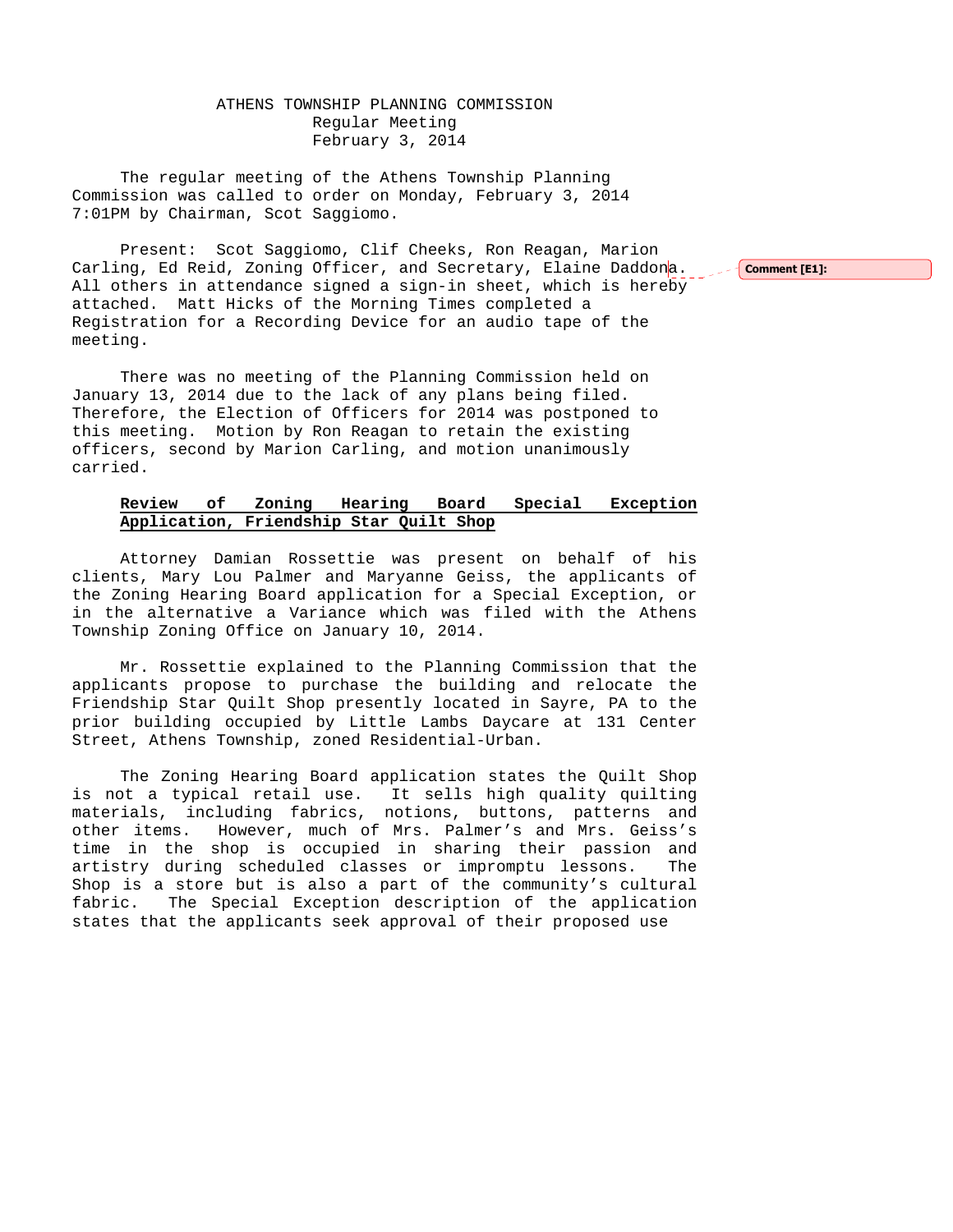## ATHENS TOWNSHIP PLANNING COMMISSION Regular Meeting February 3, 2014

The regular meeting of the Athens Township Planning Commission was called to order on Monday, February 3, 2014 7:01PM by Chairman, Scot Saggiomo.

Present: Scot Saggiomo, Clif Cheeks, Ron Reagan, Marion Carling, Ed Reid, Zoning Officer, and Secretary, Elaine Daddona. All others in attendance signed a sign-in sheet, which is hereby attached. Matt Hicks of the Morning Times completed a Registration for a Recording Device for an audio tape of the meeting.

There was no meeting of the Planning Commission held on January 13, 2014 due to the lack of any plans being filed. Therefore, the Election of Officers for 2014 was postponed to this meeting. Motion by Ron Reagan to retain the existing officers, second by Marion Carling, and motion unanimously carried.

## **Review of Zoning Hearing Board Special Exception Application, Friendship Star Quilt Shop**

 Attorney Damian Rossettie was present on behalf of his clients, Mary Lou Palmer and Maryanne Geiss, the applicants of the Zoning Hearing Board application for a Special Exception, or in the alternative a Variance which was filed with the Athens Township Zoning Office on January 10, 2014.

 Mr. Rossettie explained to the Planning Commission that the applicants propose to purchase the building and relocate the Friendship Star Quilt Shop presently located in Sayre, PA to the prior building occupied by Little Lambs Daycare at 131 Center Street, Athens Township, zoned Residential-Urban.

 The Zoning Hearing Board application states the Quilt Shop is not a typical retail use. It sells high quality quilting materials, including fabrics, notions, buttons, patterns and other items. However, much of Mrs. Palmer's and Mrs. Geiss's time in the shop is occupied in sharing their passion and artistry during scheduled classes or impromptu lessons. The Shop is a store but is also a part of the community's cultural fabric. The Special Exception description of the application states that the applicants seek approval of their proposed use

 $2 - 1$  Comment [E1]: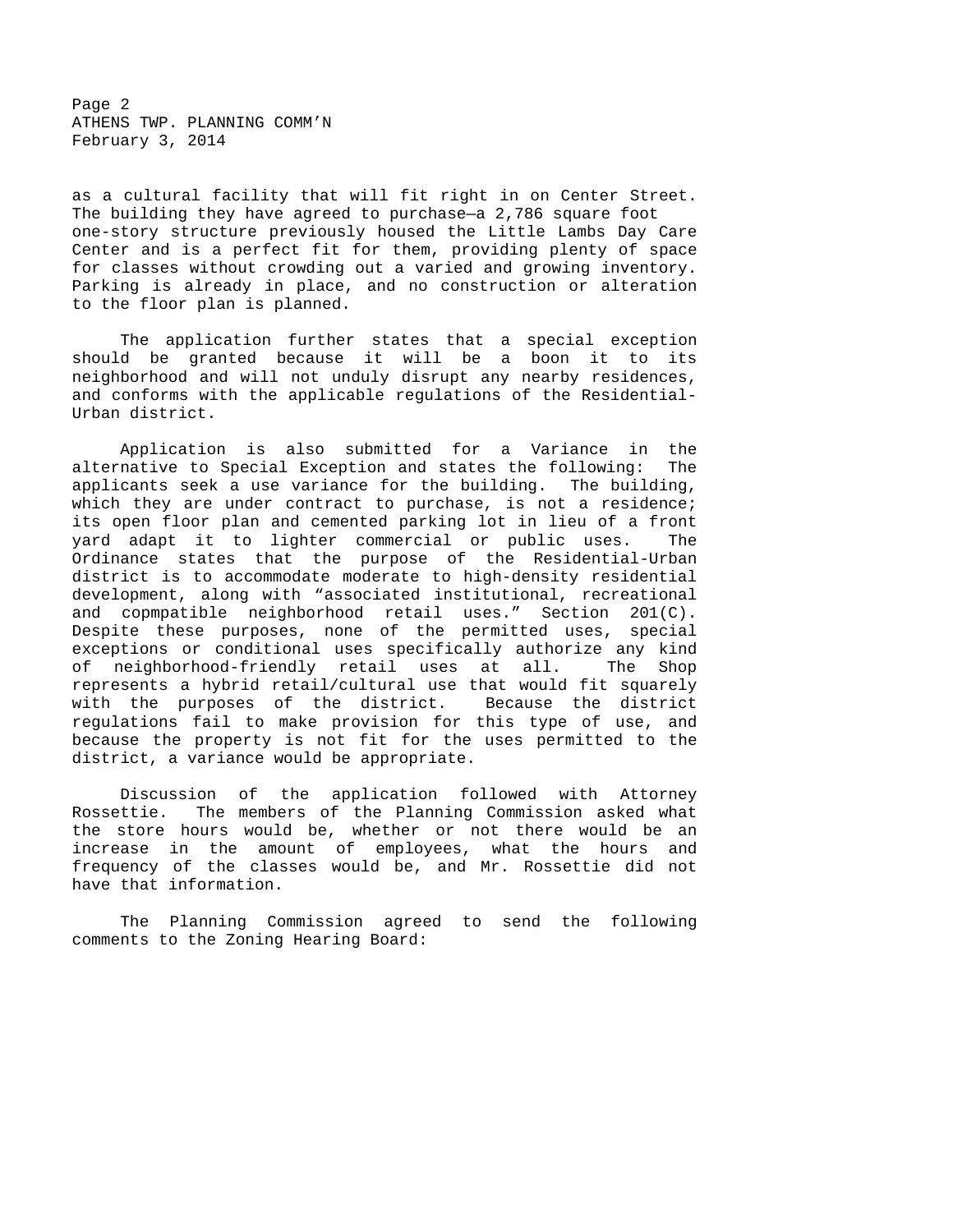Page 2 ATHENS TWP. PLANNING COMM'N February 3, 2014

as a cultural facility that will fit right in on Center Street. The building they have agreed to purchase—a 2,786 square foot one-story structure previously housed the Little Lambs Day Care Center and is a perfect fit for them, providing plenty of space for classes without crowding out a varied and growing inventory. Parking is already in place, and no construction or alteration to the floor plan is planned.

 The application further states that a special exception should be granted because it will be a boon it to its neighborhood and will not unduly disrupt any nearby residences, and conforms with the applicable regulations of the Residential-Urban district.

 Application is also submitted for a Variance in the alternative to Special Exception and states the following: The applicants seek a use variance for the building. The building, which they are under contract to purchase, is not a residence; its open floor plan and cemented parking lot in lieu of a front yard adapt it to lighter commercial or public uses. The Ordinance states that the purpose of the Residential-Urban district is to accommodate moderate to high-density residential development, along with "associated institutional, recreational and copmpatible neighborhood retail uses." Section 201(C). Despite these purposes, none of the permitted uses, special exceptions or conditional uses specifically authorize any kind of neighborhood-friendly retail uses at all. The Shop represents a hybrid retail/cultural use that would fit squarely with the purposes of the district. Because the district regulations fail to make provision for this type of use, and because the property is not fit for the uses permitted to the district, a variance would be appropriate.

 Discussion of the application followed with Attorney Rossettie. The members of the Planning Commission asked what the store hours would be, whether or not there would be an increase in the amount of employees, what the hours and frequency of the classes would be, and Mr. Rossettie did not have that information.

 The Planning Commission agreed to send the following comments to the Zoning Hearing Board: